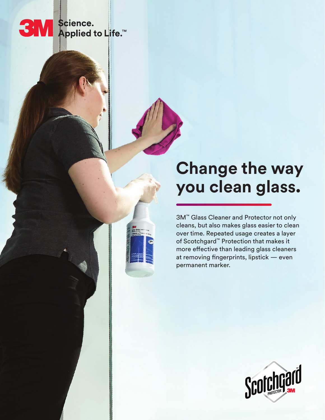# SM Science.<br>SM Applied to Life.™

## **Change the way you clean glass.**

3M™ Glass Cleaner and Protector not only cleans, but also makes glass easier to clean over time. Repeated usage creates a layer of Scotchgard™ Protection that makes it more effective than leading glass cleaners at removing fingerprints, lipstick — even permanent marker.